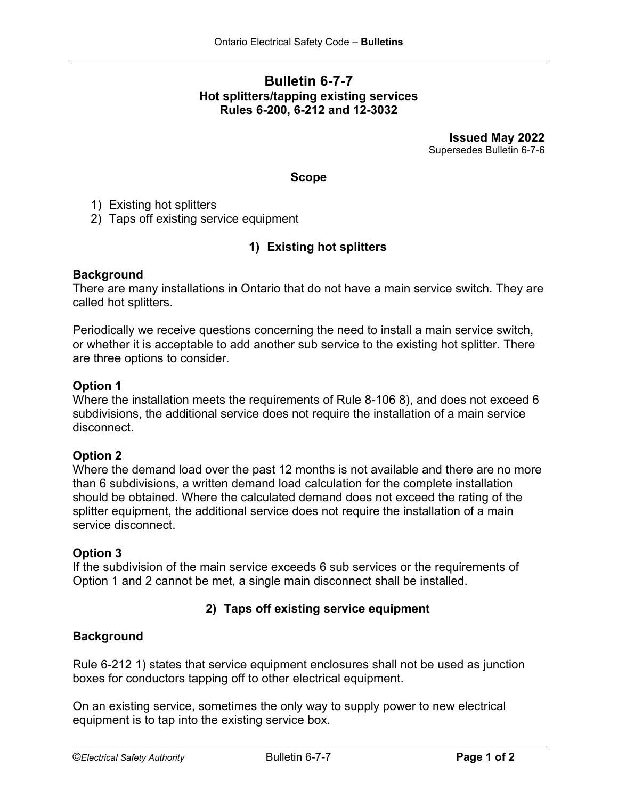# **Bulletin 6-7-7 Hot splitters/tapping existing services Rules 6-200, 6-212 and 12-3032**

**Issued May 2022** Supersedes Bulletin 6-7-6

#### **Scope**

1) Existing hot splitters

2) Taps off existing service equipment

## **1) Existing hot splitters**

#### **Background**

There are many installations in Ontario that do not have a main service switch. They are called hot splitters.

Periodically we receive questions concerning the need to install a main service switch, or whether it is acceptable to add another sub service to the existing hot splitter. There are three options to consider.

#### **Option 1**

Where the installation meets the requirements of Rule 8-106 8), and does not exceed 6 subdivisions, the additional service does not require the installation of a main service disconnect.

## **Option 2**

Where the demand load over the past 12 months is not available and there are no more than 6 subdivisions, a written demand load calculation for the complete installation should be obtained. Where the calculated demand does not exceed the rating of the splitter equipment, the additional service does not require the installation of a main service disconnect.

## **Option 3**

If the subdivision of the main service exceeds 6 sub services or the requirements of Option 1 and 2 cannot be met, a single main disconnect shall be installed.

## **2) Taps off existing service equipment**

## **Background**

Rule 6-212 1) states that service equipment enclosures shall not be used as junction boxes for conductors tapping off to other electrical equipment.

On an existing service, sometimes the only way to supply power to new electrical equipment is to tap into the existing service box.